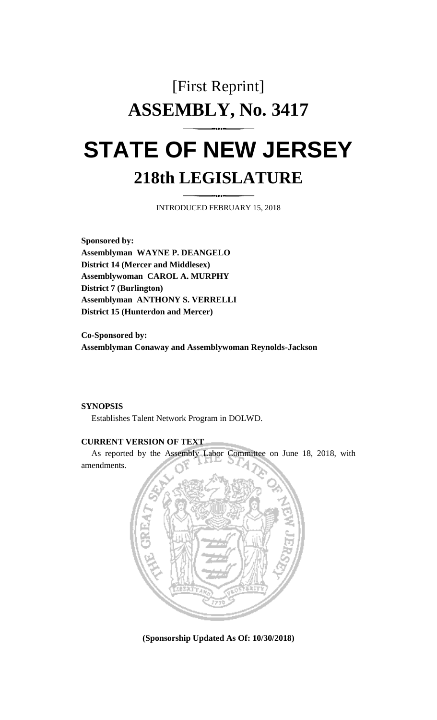# [First Reprint] **ASSEMBLY, No. 3417 STATE OF NEW JERSEY**

# **218th LEGISLATURE**

INTRODUCED FEBRUARY 15, 2018

**Sponsored by: Assemblyman WAYNE P. DEANGELO District 14 (Mercer and Middlesex) Assemblywoman CAROL A. MURPHY District 7 (Burlington) Assemblyman ANTHONY S. VERRELLI District 15 (Hunterdon and Mercer)**

**Co-Sponsored by: Assemblyman Conaway and Assemblywoman Reynolds-Jackson**

#### **SYNOPSIS**

Establishes Talent Network Program in DOLWD.

#### **CURRENT VERSION OF TEXT**

As reported by the Assembly Labor Committee on June 18, 2018, with amendments.



**(Sponsorship Updated As Of: 10/30/2018)**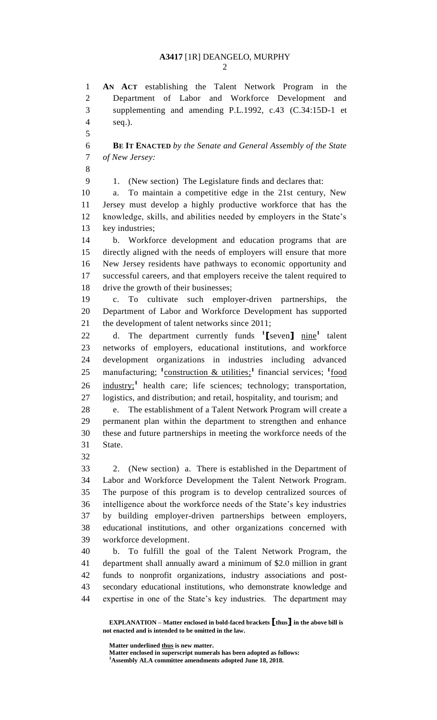**AN ACT** establishing the Talent Network Program in the Department of Labor and Workforce Development and supplementing and amending P.L.1992, c.43 (C.34:15D-1 et seq.).

 **BE IT ENACTED** *by the Senate and General Assembly of the State of New Jersey:*

1. (New section) The Legislature finds and declares that:

 a. To maintain a competitive edge in the 21st century, New Jersey must develop a highly productive workforce that has the knowledge, skills, and abilities needed by employers in the State's key industries;

 b. Workforce development and education programs that are directly aligned with the needs of employers will ensure that more New Jersey residents have pathways to economic opportunity and successful careers, and that employers receive the talent required to drive the growth of their businesses;

 c. To cultivate such employer-driven partnerships, the Department of Labor and Workforce Development has supported the development of talent networks since 2011;

22 d. The department currently funds <sup>1</sup>[seven]  $\frac{\text{nine}^1}{\text{a}}$  talent networks of employers, educational institutions, and workforce development organizations in industries including advanced 25 manufacturing; <sup>1</sup>construction & utilities;<sup>1</sup> financial services; <sup>1</sup>food 26 industry;<sup>1</sup> health care; life sciences; technology; transportation, logistics, and distribution; and retail, hospitality, and tourism; and

 e. The establishment of a Talent Network Program will create a permanent plan within the department to strengthen and enhance these and future partnerships in meeting the workforce needs of the State.

 2. (New section) a. There is established in the Department of Labor and Workforce Development the Talent Network Program. The purpose of this program is to develop centralized sources of intelligence about the workforce needs of the State's key industries by building employer-driven partnerships between employers, educational institutions, and other organizations concerned with workforce development.

 b. To fulfill the goal of the Talent Network Program, the department shall annually award a minimum of \$2.0 million in grant funds to nonprofit organizations, industry associations and post- secondary educational institutions, who demonstrate knowledge and expertise in one of the State's key industries. The department may

**Matter underlined thus is new matter.**

**Matter enclosed in superscript numerals has been adopted as follows: Assembly ALA committee amendments adopted June 18, 2018.**

**EXPLANATION – Matter enclosed in bold-faced brackets [thus] in the above bill is not enacted and is intended to be omitted in the law.**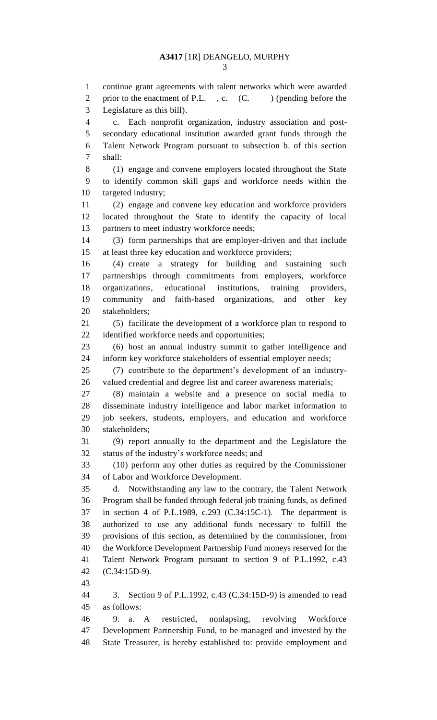2 prior to the enactment of P.L., c. (C. ) (pending before the Legislature as this bill). c. Each nonprofit organization, industry association and post- secondary educational institution awarded grant funds through the Talent Network Program pursuant to subsection b. of this section shall: (1) engage and convene employers located throughout the State to identify common skill gaps and workforce needs within the targeted industry; (2) engage and convene key education and workforce providers located throughout the State to identify the capacity of local partners to meet industry workforce needs; (3) form partnerships that are employer-driven and that include at least three key education and workforce providers; (4) create a strategy for building and sustaining such partnerships through commitments from employers, workforce organizations, educational institutions, training providers, community and faith-based organizations, and other key stakeholders; (5) facilitate the development of a workforce plan to respond to identified workforce needs and opportunities; (6) host an annual industry summit to gather intelligence and inform key workforce stakeholders of essential employer needs; (7) contribute to the department's development of an industry- valued credential and degree list and career awareness materials; (8) maintain a website and a presence on social media to disseminate industry intelligence and labor market information to job seekers, students, employers, and education and workforce stakeholders; (9) report annually to the department and the Legislature the status of the industry's workforce needs; and (10) perform any other duties as required by the Commissioner of Labor and Workforce Development. d. Notwithstanding any law to the contrary, the Talent Network Program shall be funded through federal job training funds, as defined in section 4 of P.L.1989, c.293 (C.34:15C-1). The department is authorized to use any additional funds necessary to fulfill the provisions of this section, as determined by the commissioner, from the Workforce Development Partnership Fund moneys reserved for the Talent Network Program pursuant to section 9 of P.L.1992, c.43

- (C.34:15D-9).
- 

 3. Section 9 of P.L.1992, c.43 (C.34:15D-9) is amended to read as follows:

 9. a. A restricted, nonlapsing, revolving Workforce Development Partnership Fund, to be managed and invested by the State Treasurer, is hereby established to: provide employment and

continue grant agreements with talent networks which were awarded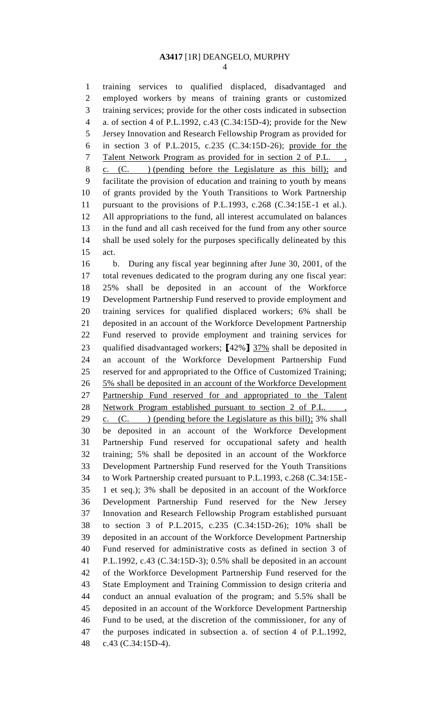training services to qualified displaced, disadvantaged and employed workers by means of training grants or customized training services; provide for the other costs indicated in subsection a. of section 4 of P.L.1992, c.43 (C.34:15D-4); provide for the New Jersey Innovation and Research Fellowship Program as provided for in section 3 of P.L.2015, c.235 (C.34:15D-26); provide for the 7 Talent Network Program as provided for in section 2 of P.L., c. (C. ) (pending before the Legislature as this bill); and facilitate the provision of education and training to youth by means of grants provided by the Youth Transitions to Work Partnership pursuant to the provisions of P.L.1993, c.268 (C.34:15E-1 et al.). All appropriations to the fund, all interest accumulated on balances in the fund and all cash received for the fund from any other source shall be used solely for the purposes specifically delineated by this act. b. During any fiscal year beginning after June 30, 2001, of the total revenues dedicated to the program during any one fiscal year: 25% shall be deposited in an account of the Workforce Development Partnership Fund reserved to provide employment and training services for qualified displaced workers; 6% shall be deposited in an account of the Workforce Development Partnership Fund reserved to provide employment and training services for qualified disadvantaged workers; **[**42%**]** 37% shall be deposited in an account of the Workforce Development Partnership Fund reserved for and appropriated to the Office of Customized Training; 5% shall be deposited in an account of the Workforce Development Partnership Fund reserved for and appropriated to the Talent 28 Network Program established pursuant to section 2 of P.L., 29 c.  $(C.$  ) (pending before the Legislature as this bill); 3% shall be deposited in an account of the Workforce Development Partnership Fund reserved for occupational safety and health training; 5% shall be deposited in an account of the Workforce Development Partnership Fund reserved for the Youth Transitions to Work Partnership created pursuant to P.L.1993, c.268 (C.34:15E- 1 et seq.); 3% shall be deposited in an account of the Workforce Development Partnership Fund reserved for the New Jersey Innovation and Research Fellowship Program established pursuant to section 3 of P.L.2015, c.235 (C.34:15D-26); 10% shall be deposited in an account of the Workforce Development Partnership Fund reserved for administrative costs as defined in section 3 of P.L.1992, c.43 (C.34:15D-3); 0.5% shall be deposited in an account of the Workforce Development Partnership Fund reserved for the State Employment and Training Commission to design criteria and conduct an annual evaluation of the program; and 5.5% shall be deposited in an account of the Workforce Development Partnership Fund to be used, at the discretion of the commissioner, for any of the purposes indicated in subsection a. of section 4 of P.L.1992, c.43 (C.34:15D-4).